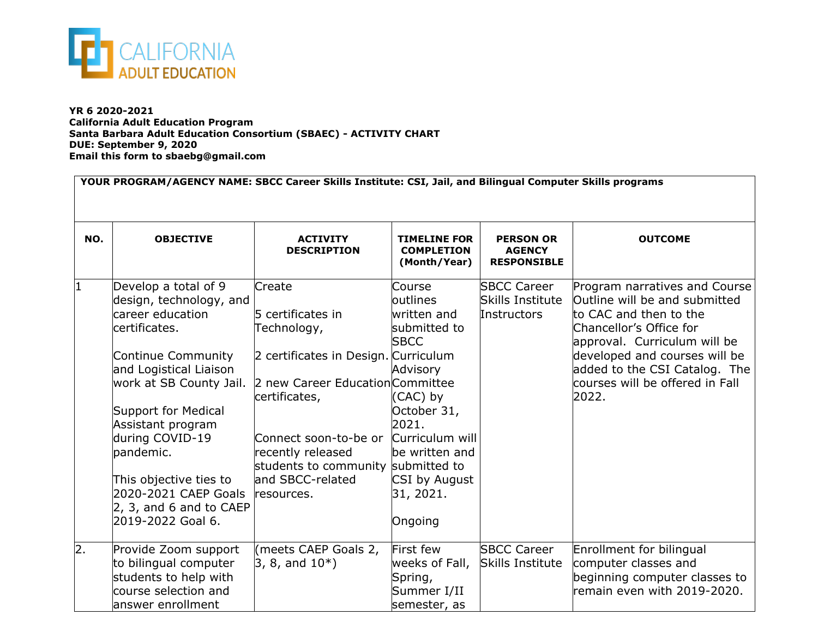

**YR 6 2020-2021 California Adult Education Program Santa Barbara Adult Education Consortium (SBAEC) - ACTIVITY CHART DUE: September 9, 2020 Email this form to sbaebg@gmail.com**

| YOUR PROGRAM/AGENCY NAME: SBCC Career Skills Institute: CSI, Jail, and Bilingual Computer Skills programs |                                                                                                                                                                                                                                                                                                                                                       |                                                                                                                                                                                                                                                                               |                                                                                                                                                                              |                                                         |                                                                                                                                                                                                                                                                   |  |  |
|-----------------------------------------------------------------------------------------------------------|-------------------------------------------------------------------------------------------------------------------------------------------------------------------------------------------------------------------------------------------------------------------------------------------------------------------------------------------------------|-------------------------------------------------------------------------------------------------------------------------------------------------------------------------------------------------------------------------------------------------------------------------------|------------------------------------------------------------------------------------------------------------------------------------------------------------------------------|---------------------------------------------------------|-------------------------------------------------------------------------------------------------------------------------------------------------------------------------------------------------------------------------------------------------------------------|--|--|
| NO.                                                                                                       | <b>OBJECTIVE</b>                                                                                                                                                                                                                                                                                                                                      | <b>ACTIVITY</b><br><b>DESCRIPTION</b>                                                                                                                                                                                                                                         | <b>TIMELINE FOR</b><br><b>COMPLETION</b><br>(Month/Year)                                                                                                                     | <b>PERSON OR</b><br><b>AGENCY</b><br><b>RESPONSIBLE</b> | <b>OUTCOME</b>                                                                                                                                                                                                                                                    |  |  |
|                                                                                                           | Develop a total of 9<br>design, technology, and<br>career education<br>certificates.<br>Continue Community<br>and Logistical Liaison<br>work at SB County Jail.<br>Support for Medical<br>Assistant program<br>during COVID-19<br>pandemic.<br>This objective ties to<br>2020-2021 CAEP Goals<br>$\vert$ 2, 3, and 6 and to CAEP<br>2019-2022 Goal 6. | Create<br>5 certificates in<br>Technology,<br>2 certificates in Design. Curriculum<br>2 new Career Education Committee<br>certificates,<br>Connect soon-to-be or Curriculum will<br>recently released<br>students to community submitted to<br>and SBCC-related<br>resources. | Course<br>loutlines<br>written and<br>submitted to<br><b>SBCC</b><br>Advisory<br>(CAC) by<br>October 31,<br>2021.<br>be written and<br>CSI by August<br>31, 2021.<br>Ongoing | <b>SBCC Career</b><br>Skills Institute<br>Instructors   | Program narratives and Course<br>Outline will be and submitted<br>to CAC and then to the<br>Chancellor's Office for<br>approval. Curriculum will be<br>developed and courses will be<br>added to the CSI Catalog. The<br>courses will be offered in Fall<br>2022. |  |  |
| $\overline{2}$ .                                                                                          | Provide Zoom support<br>to bilingual computer<br>students to help with<br>course selection and<br>answer enrollment                                                                                                                                                                                                                                   | (meets CAEP Goals 2,<br>$ 3, 8,$ and $10^*$ )                                                                                                                                                                                                                                 | First few<br>weeks of Fall,<br>Spring,<br>Summer I/II<br>semester, as                                                                                                        | <b>SBCC Career</b><br><b>Skills Institute</b>           | Enrollment for bilingual<br>computer classes and<br>beginning computer classes to<br>remain even with 2019-2020.                                                                                                                                                  |  |  |